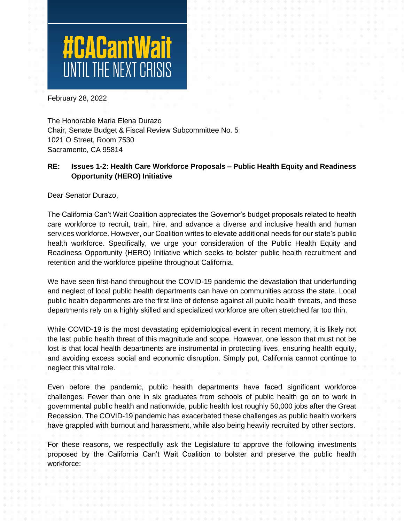

February 28, 2022

The Honorable Maria Elena Durazo Chair, Senate Budget & Fiscal Review Subcommittee No. 5 1021 O Street, Room 7530 Sacramento, CA 95814

# **RE: Issues 1-2: Health Care Workforce Proposals – Public Health Equity and Readiness Opportunity (HERO) Initiative**

Dear Senator Durazo,

The California Can't Wait Coalition appreciates the Governor's budget proposals related to health care workforce to recruit, train, hire, and advance a diverse and inclusive health and human services workforce. However, our Coalition writes to elevate additional needs for our state's public health workforce. Specifically, we urge your consideration of the Public Health Equity and Readiness Opportunity (HERO) Initiative which seeks to bolster public health recruitment and retention and the workforce pipeline throughout California.

We have seen first-hand throughout the COVID-19 pandemic the devastation that underfunding and neglect of local public health departments can have on communities across the state. Local public health departments are the first line of defense against all public health threats, and these departments rely on a highly skilled and specialized workforce are often stretched far too thin.

While COVID-19 is the most devastating epidemiological event in recent memory, it is likely not the last public health threat of this magnitude and scope. However, one lesson that must not be lost is that local health departments are instrumental in protecting lives, ensuring health equity, and avoiding excess social and economic disruption. Simply put, California cannot continue to neglect this vital role.

Even before the pandemic, public health departments have faced significant workforce challenges. Fewer than one in six graduates from schools of public health go on to work in governmental public health and nationwide, public health lost roughly 50,000 jobs after the Great Recession. The COVID-19 pandemic has exacerbated these challenges as public health workers have grappled with burnout and harassment, while also being heavily recruited by other sectors.

For these reasons, we respectfully ask the Legislature to approve the following investments proposed by the California Can't Wait Coalition to bolster and preserve the public health workforce: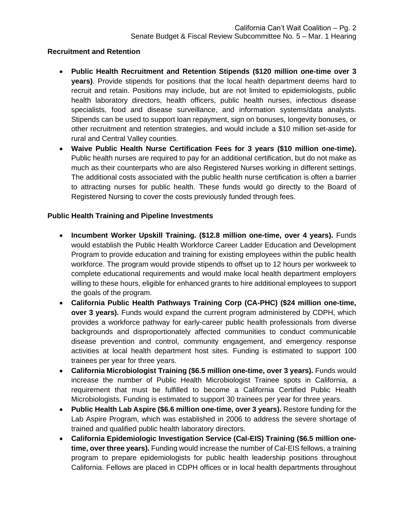### **Recruitment and Retention**

- **Public Health Recruitment and Retention Stipends (\$120 million one-time over 3 years)**. Provide stipends for positions that the local health department deems hard to recruit and retain. Positions may include, but are not limited to epidemiologists, public health laboratory directors, health officers, public health nurses, infectious disease specialists, food and disease surveillance, and information systems/data analysts. Stipends can be used to support loan repayment, sign on bonuses, longevity bonuses, or other recruitment and retention strategies, and would include a \$10 million set-aside for rural and Central Valley counties.
- **Waive Public Health Nurse Certification Fees for 3 years (\$10 million one-time).**  Public health nurses are required to pay for an additional certification, but do not make as much as their counterparts who are also Registered Nurses working in different settings. The additional costs associated with the public health nurse certification is often a barrier to attracting nurses for public health. These funds would go directly to the Board of Registered Nursing to cover the costs previously funded through fees.

## **Public Health Training and Pipeline Investments**

- **Incumbent Worker Upskill Training. (\$12.8 million one-time, over 4 years).** Funds would establish the Public Health Workforce Career Ladder Education and Development Program to provide education and training for existing employees within the public health workforce. The program would provide stipends to offset up to 12 hours per workweek to complete educational requirements and would make local health department employers willing to these hours, eligible for enhanced grants to hire additional employees to support the goals of the program.
- **California Public Health Pathways Training Corp (CA-PHC) (\$24 million one-time, over 3 years).** Funds would expand the current program administered by CDPH, which provides a workforce pathway for early-career public health professionals from diverse backgrounds and disproportionately affected communities to conduct communicable disease prevention and control, community engagement, and emergency response activities at local health department host sites. Funding is estimated to support 100 trainees per year for three years.
- **California Microbiologist Training (\$6.5 million one-time, over 3 years).** Funds would increase the number of Public Health Microbiologist Trainee spots in California, a requirement that must be fulfilled to become a California Certified Public Health Microbiologists. Funding is estimated to support 30 trainees per year for three years.
- **Public Health Lab Aspire (\$6.6 million one-time, over 3 years).** Restore funding for the Lab Aspire Program, which was established in 2006 to address the severe shortage of trained and qualified public health laboratory directors.
- **California Epidemiologic Investigation Service (Cal-EIS) Training (\$6.5 million onetime, over three years).** Funding would increase the number of Cal-EIS fellows, a training program to prepare epidemiologists for public health leadership positions throughout California. Fellows are placed in CDPH offices or in local health departments throughout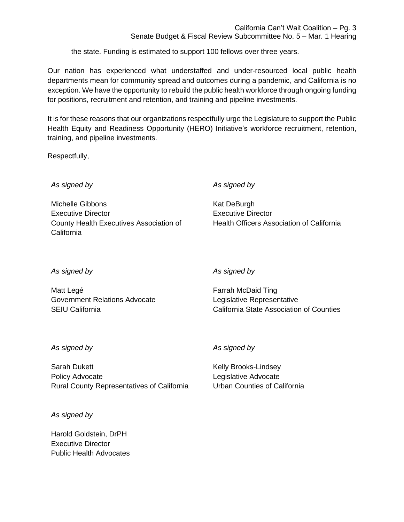California Can't Wait Coalition – Pg. 3

Senate Budget & Fiscal Review Subcommittee No. 5 – Mar. 1 Hearing

the state. Funding is estimated to support 100 fellows over three years.

Our nation has experienced what understaffed and under-resourced local public health departments mean for community spread and outcomes during a pandemic, and California is no exception. We have the opportunity to rebuild the public health workforce through ongoing funding for positions, recruitment and retention, and training and pipeline investments.

It is for these reasons that our organizations respectfully urge the Legislature to support the Public Health Equity and Readiness Opportunity (HERO) Initiative's workforce recruitment, retention, training, and pipeline investments.

Respectfully,

*As signed by*

Michelle Gibbons Executive Director County Health Executives Association of **California** 

*As signed by*

Kat DeBurgh Executive Director Health Officers Association of California

*As signed by*

Matt Legé Government Relations Advocate SEIU California

*As signed by*

Farrah McDaid Ting Legislative Representative California State Association of Counties

### *As signed by*

Sarah Dukett Policy Advocate Rural County Representatives of California

*As signed by*

Harold Goldstein, DrPH Executive Director Public Health Advocates

## *As signed by*

Kelly Brooks-Lindsey Legislative Advocate Urban Counties of California